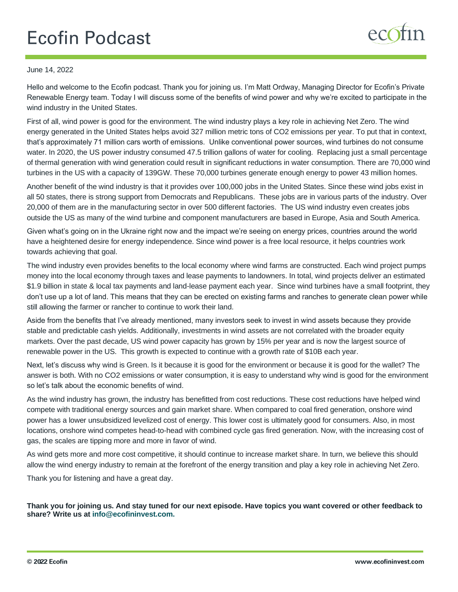## **Ecofin Podcast**

## June 14, 2022

Hello and welcome to the Ecofin podcast. Thank you for joining us. I'm Matt Ordway, Managing Director for Ecofin's Private Renewable Energy team. Today I will discuss some of the benefits of wind power and why we're excited to participate in the wind industry in the United States.

First of all, wind power is good for the environment. The wind industry plays a key role in achieving Net Zero. The wind energy generated in the United States helps avoid 327 million metric tons of CO2 emissions per year. To put that in context, that's approximately 71 million cars worth of emissions. Unlike conventional power sources, wind turbines do not consume water. In 2020, the US power industry consumed 47.5 trillion gallons of water for cooling. Replacing just a small percentage of thermal generation with wind generation could result in significant reductions in water consumption. There are 70,000 wind turbines in the US with a capacity of 139GW. These 70,000 turbines generate enough energy to power 43 million homes.

Another benefit of the wind industry is that it provides over 100,000 jobs in the United States. Since these wind jobs exist in all 50 states, there is strong support from Democrats and Republicans. These jobs are in various parts of the industry. Over 20,000 of them are in the manufacturing sector in over 500 different factories. The US wind industry even creates jobs outside the US as many of the wind turbine and component manufacturers are based in Europe, Asia and South America.

Given what's going on in the Ukraine right now and the impact we're seeing on energy prices, countries around the world have a heightened desire for energy independence. Since wind power is a free local resource, it helps countries work towards achieving that goal.

The wind industry even provides benefits to the local economy where wind farms are constructed. Each wind project pumps money into the local economy through taxes and lease payments to landowners. In total, wind projects deliver an estimated \$1.9 billion in state & local tax payments and land-lease payment each year. Since wind turbines have a small footprint, they don't use up a lot of land. This means that they can be erected on existing farms and ranches to generate clean power while still allowing the farmer or rancher to continue to work their land.

Aside from the benefits that I've already mentioned, many investors seek to invest in wind assets because they provide stable and predictable cash yields. Additionally, investments in wind assets are not correlated with the broader equity markets. Over the past decade, US wind power capacity has grown by 15% per year and is now the largest source of renewable power in the US. This growth is expected to continue with a growth rate of \$10B each year.

Next, let's discuss why wind is Green. Is it because it is good for the environment or because it is good for the wallet? The answer is both. With no CO2 emissions or water consumption, it is easy to understand why wind is good for the environment so let's talk about the economic benefits of wind.

As the wind industry has grown, the industry has benefitted from cost reductions. These cost reductions have helped wind compete with traditional energy sources and gain market share. When compared to coal fired generation, onshore wind power has a lower unsubsidized levelized cost of energy. This lower cost is ultimately good for consumers. Also, in most locations, onshore wind competes head-to-head with combined cycle gas fired generation. Now, with the increasing cost of gas, the scales are tipping more and more in favor of wind.

As wind gets more and more cost competitive, it should continue to increase market share. In turn, we believe this should allow the wind energy industry to remain at the forefront of the energy transition and play a key role in achieving Net Zero.

Thank you for listening and have a great day.

**Thank you for joining us. And stay tuned for our next episode. Have topics you want covered or other feedback to share? Write us at info@ecofininvest.com.**